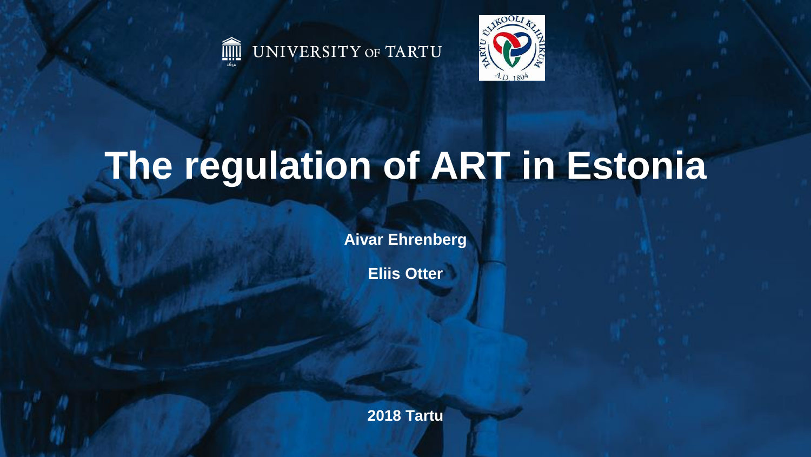



# **The regulation of ART in Estonia**

**Aivar Ehrenberg**

**Eliis Otter**

**2018 Tartu**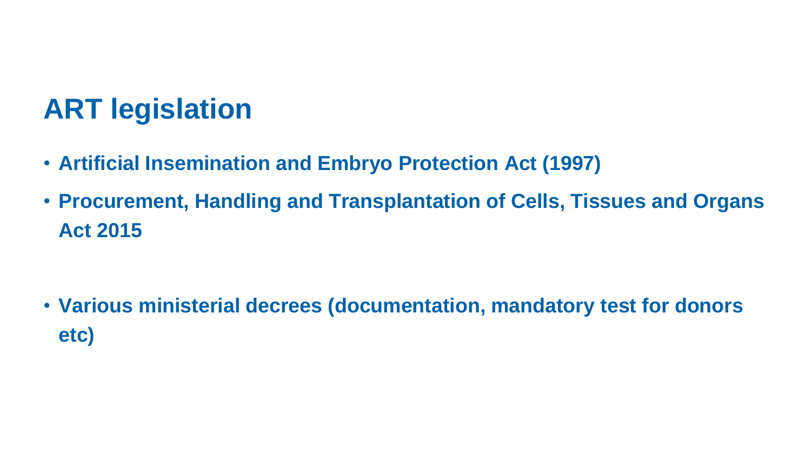### **ART legislation**

- **Artificial Insemination and Embryo Protection Act (1997)**
- **Procurement, Handling and Transplantation of Cells, Tissues and Organs Act 2015**

• **Various ministerial decrees (documentation, mandatory test for donors etc)**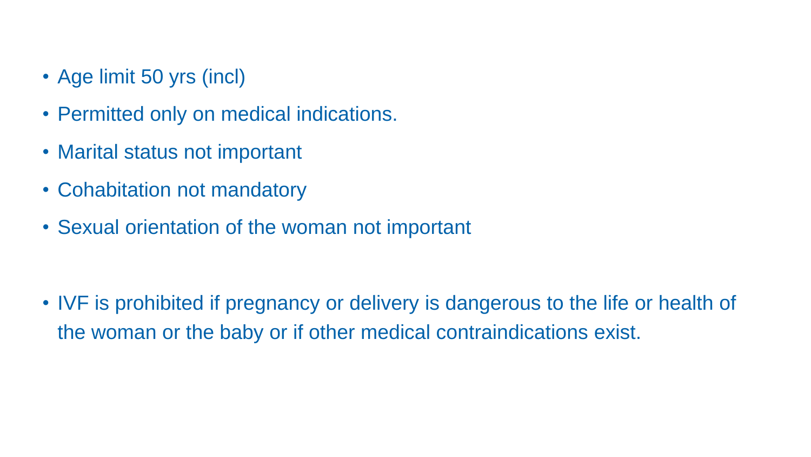- Age limit 50 yrs (incl)
- Permitted only on medical indications.
- Marital status not important
- Cohabitation not mandatory
- Sexual orientation of the woman not important

• IVF is prohibited if pregnancy or delivery is dangerous to the life or health of the woman or the baby or if other medical contraindications exist.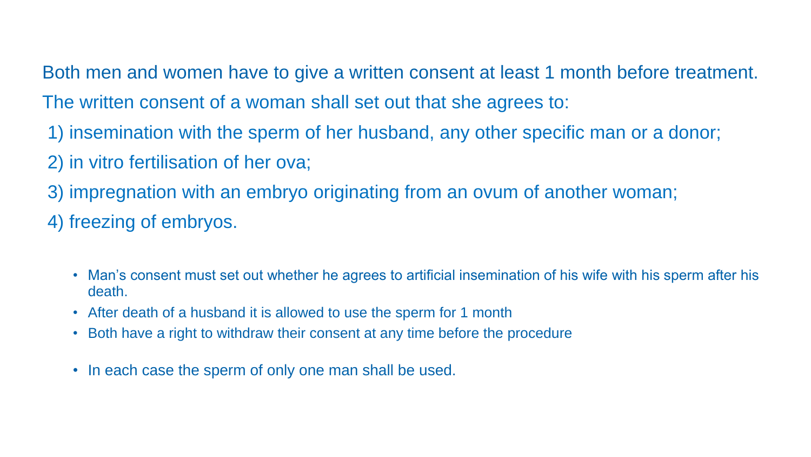Both men and women have to give a written consent at least 1 month before treatment. The written consent of a woman shall set out that she agrees to:

- 1) insemination with the sperm of her husband, any other specific man or a donor;
- 2) in vitro fertilisation of her ova;
- 3) impregnation with an embryo originating from an ovum of another woman;
- 4) freezing of embryos.
	- Man's consent must set out whether he agrees to artificial insemination of his wife with his sperm after his death.
	- After death of a husband it is allowed to use the sperm for 1 month
	- Both have a right to withdraw their consent at any time before the procedure
	- In each case the sperm of only one man shall be used.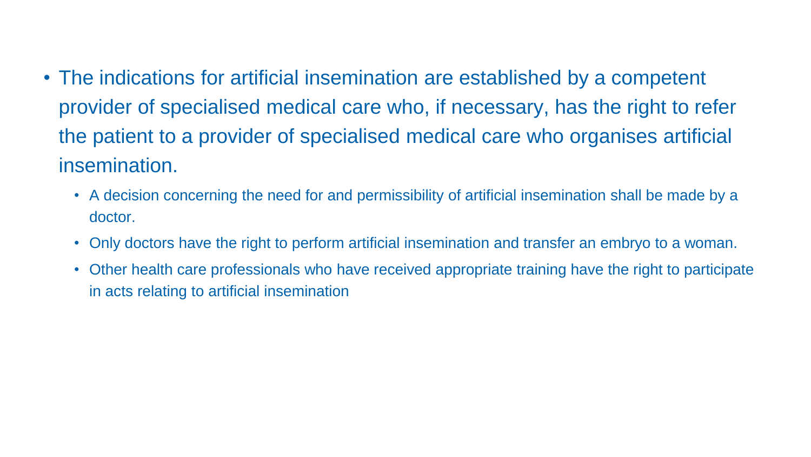- The indications for artificial insemination are established by a competent provider of specialised medical care who, if necessary, has the right to refer the patient to a provider of specialised medical care who organises artificial insemination.
	- A decision concerning the need for and permissibility of artificial insemination shall be made by a doctor.
	- Only doctors have the right to perform artificial insemination and transfer an embryo to a woman.
	- Other health care professionals who have received appropriate training have the right to participate in acts relating to artificial insemination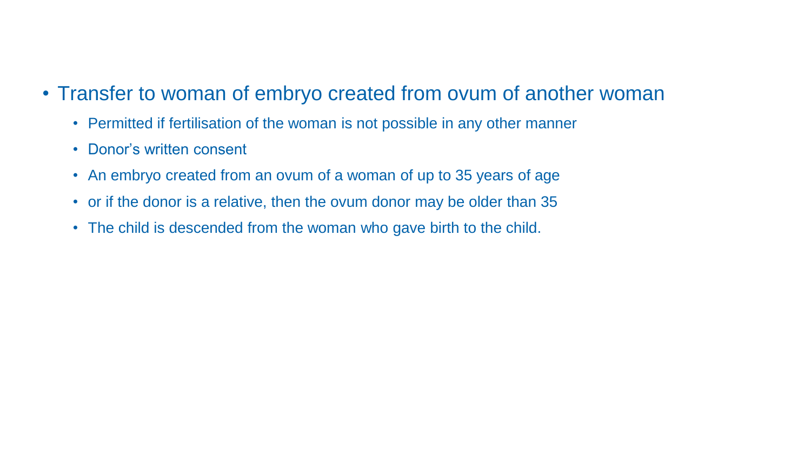- Transfer to woman of embryo created from ovum of another woman
	- Permitted if fertilisation of the woman is not possible in any other manner
	- Donor's written consent
	- An embryo created from an ovum of a woman of up to 35 years of age
	- or if the donor is a relative, then the ovum donor may be older than 35
	- The child is descended from the woman who gave birth to the child.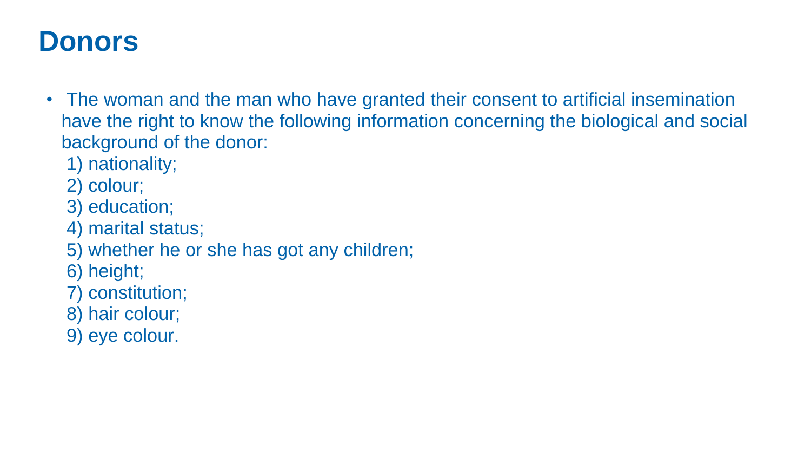### **Donors**

- The woman and the man who have granted their consent to artificial insemination have the right to know the following information concerning the biological and social background of the donor:
	- 1) nationality;
	- 2) colour;
	- 3) education;
	- 4) marital status;
	- 5) whether he or she has got any children;
	- 6) height;
	- 7) constitution;
	- 8) hair colour;
	- 9) eye colour.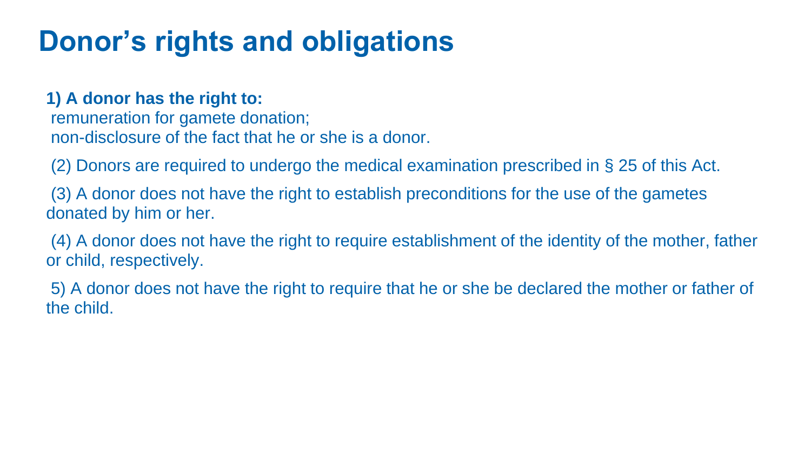### **Donor's rights and obligations**

#### **1) A donor has the right to:**

remuneration for gamete donation; non-disclosure of the fact that he or she is a donor.

(2) Donors are required to undergo the medical examination prescribed in § 25 of this Act.

(3) A donor does not have the right to establish preconditions for the use of the gametes donated by him or her.

(4) A donor does not have the right to require establishment of the identity of the mother, father or child, respectively.

5) A donor does not have the right to require that he or she be declared the mother or father of the child.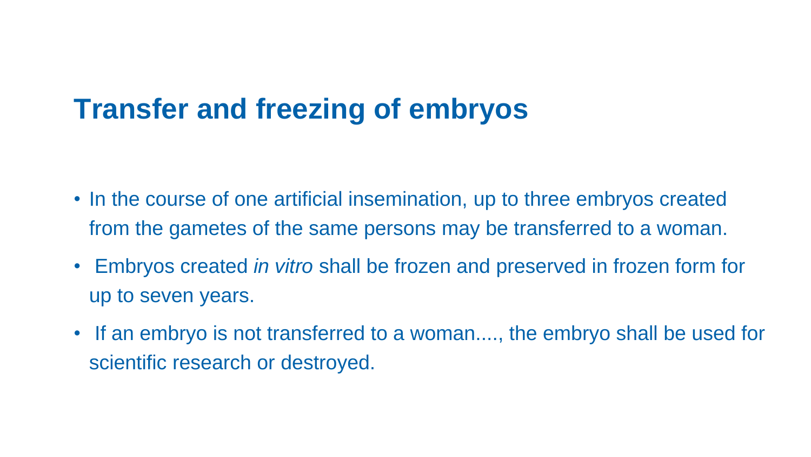### **Transfer and freezing of embryos**

- In the course of one artificial insemination, up to three embryos created from the gametes of the same persons may be transferred to a woman.
- Embryos created *in vitro* shall be frozen and preserved in frozen form for up to seven years.
- If an embryo is not transferred to a woman...., the embryo shall be used for scientific research or destroyed.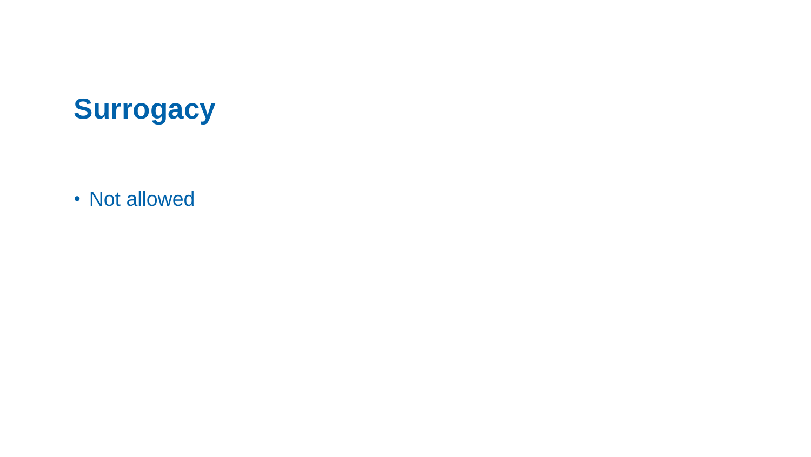## **Surrogacy**

• Not allowed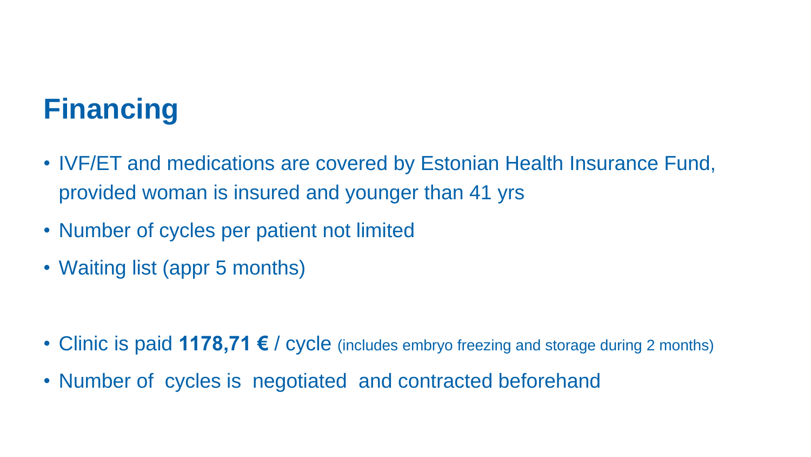# **Financing**

- IVF/ET and medications are covered by Estonian Health Insurance Fund, provided woman is insured and younger than 41 yrs
- Number of cycles per patient not limited
- Waiting list (appr 5 months)

- Clinic is paid **1178,71 €** / cycle (includes embryo freezing and storage during 2 months)
- Number of cycles is negotiated and contracted beforehand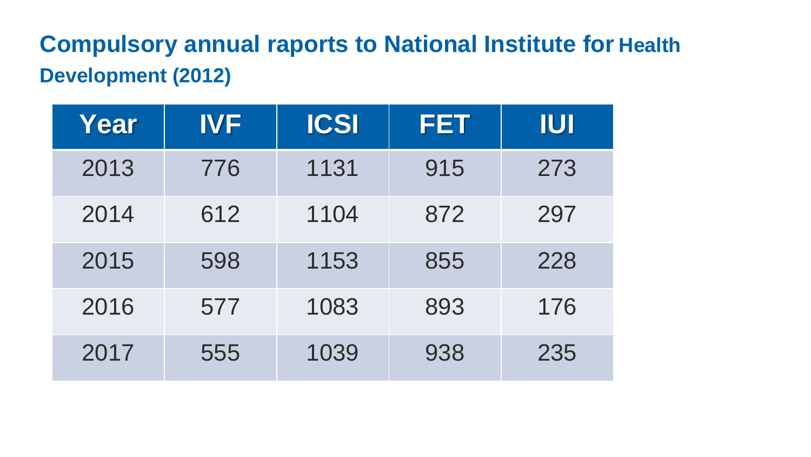### **Compulsory annual raports to National Institute for Health Development (2012)**

| Year | <b>IVF</b> | <b>ICSI</b> | <b>FET</b> | <b>IUI</b> |
|------|------------|-------------|------------|------------|
| 2013 | 776        | 1131        | 915        | 273        |
| 2014 | 612        | 1104        | 872        | 297        |
| 2015 | 598        | 1153        | 855        | 228        |
| 2016 | 577        | 1083        | 893        | 176        |
| 2017 | 555        | 1039        | 938        | 235        |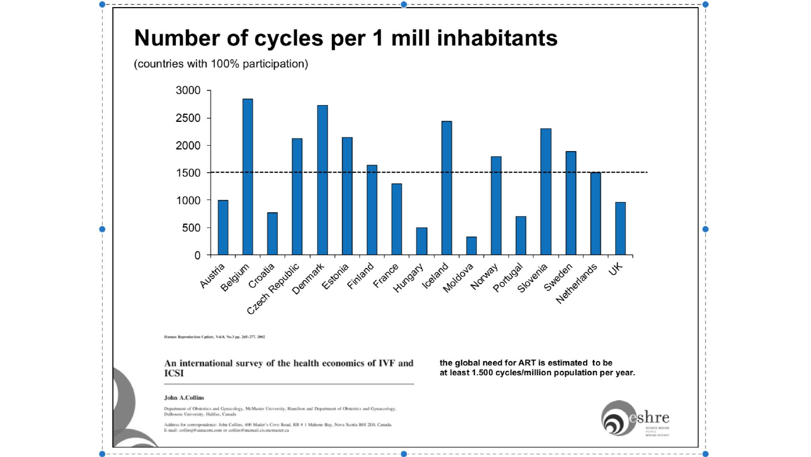